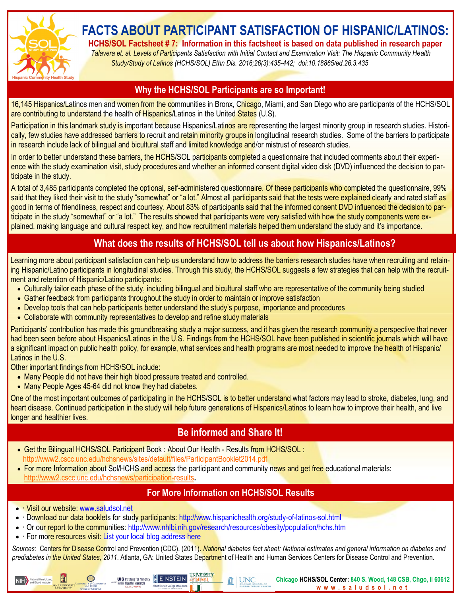

# **FACTS ABOUT PARTICIPANT SATISFACTION OF HISPANIC/LATINOS:**

**HCHS/SOL Factsheet # 7: Information in this factsheet is based on data published in research paper**

 *Talavera et. al. Levels of Participants Satisfaction with Initial Contact and Examination Visit: The Hispanic Community Health Study/Study of Latinos (HCHS/SOL) Ethn Dis. 2016;26(3):435-442; doi:10.18865/ed.26.3.435*

#### **Why the HCHS/SOL Participants are so Important!**

16,145 Hispanics/Latinos men and women from the communities in Bronx, Chicago, Miami, and San Diego who are participants of the HCHS/SOL are contributing to understand the health of Hispanics/Latinos in the United States (U.S).

Participation in this landmark study is important because Hispanics/Latinos are representing the largest minority group in research studies. Historically, few studies have addressed barriers to recruit and retain minority groups in longitudinal research studies. Some of the barriers to participate in research include lack of bilingual and bicultural staff and limited knowledge and/or mistrust of research studies.

In order to better understand these barriers, the HCHS/SOL participants completed a questionnaire that included comments about their experience with the study examination visit, study procedures and whether an informed consent digital video disk (DVD) influenced the decision to participate in the study.

A total of 3,485 participants completed the optional, self-administered questionnaire. Of these participants who completed the questionnaire, 99% said that they liked their visit to the study "somewhat" or "a lot." Almost all participants said that the tests were explained clearly and rated staff as good in terms of friendliness, respect and courtesy. About 83% of participants said that the informed consent DVD influenced the decision to participate in the study "somewhat" or "a lot." The results showed that participants were very satisfied with how the study components were explained, making language and cultural respect key, and how recruitment materials helped them understand the study and it's importance.

# **What does the results of HCHS/SOL tell us about how Hispanics/Latinos?**

Learning more about participant satisfaction can help us understand how to address the barriers research studies have when recruiting and retaining Hispanic/Latino participants in longitudinal studies. Through this study, the HCHS/SOL suggests a few strategies that can help with the recruitment and retention of Hispanic/Latino participants:

- Culturally tailor each phase of the study, including bilingual and bicultural staff who are representative of the community being studied
- Gather feedback from participants throughout the study in order to maintain or improve satisfaction
- Develop tools that can help participants better understand the study's purpose, importance and procedures
- Collaborate with community representatives to develop and refine study materials

Participants' contribution has made this groundbreaking study a major success, and it has given the research community a perspective that never had been seen before about Hispanics/Latinos in the U.S. Findings from the HCHS/SOL have been published in scientific journals which will have a significant impact on public health policy, for example, what services and health programs are most needed to improve the health of Hispanic/ Latinos in the U.S.

Other important findings from HCHS/SOL include:

- Many People did not have their high blood pressure treated and controlled.
- Many People Ages 45-64 did not know they had diabetes.

One of the most important outcomes of participating in the HCHS/SOL is to better understand what factors may lead to stroke, diabetes, lung, and heart disease. Continued participation in the study will help future generations of Hispanics/Latinos to learn how to improve their health, and live longer and healthier lives.

# **Be informed and Share It!**

 Get the Bilingual HCHS/SOL Participant Book : About Our Health - Results from HCHS/SOL : <http://www2.cscc.unc.edu/hchsnews/sites/default/files/ParticipantBooklet2014.pdf>

**UIC** Institute for Minority EINSTEIN

• For more Information about Sol/HCHS and access the participant and community news and get free educational materials: <http://www2.cscc.unc.edu/hchsnews/participation-results>**.**

#### **For More Information on HCHS/SOL Results**

• Visit our website: www.saludsol.net

竃

NIH National Heart, Lung.

- Download our data booklets for study participants: http://www.hispanichealth.org/study-of-latinos-sol.html
- · Or our report to the communities: http://www.nhlbi.nih.gov/research/resources/obesity/population/hchs.htm
- For more resources visit: List your local blog address here

 $\bigcirc$ 

*Sources:* Centers for Disease Control and Prevention (CDC). (2011). *National diabetes fact sheet: National estimates and general information on diabetes and prediabetes in the United States, 2011*. Atlanta, GA: United States Department of Health and Human Services Centers for Disease Control and Prevention.

M

**UNC** 

**Chicago HCHS/SOL Center: 840 S. Wood, 148 CSB, Chgo, Il 60612 w w w . s a l u d s o l . n e t**